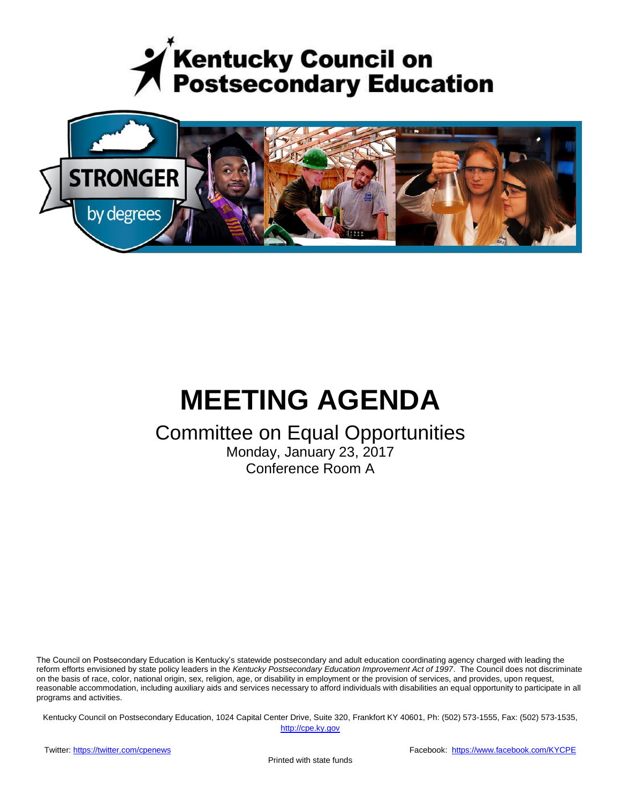



# **MEETING AGENDA**

# Committee on Equal Opportunities

Monday, January 23, 2017 Conference Room A

The Council on Postsecondary Education is Kentucky's statewide postsecondary and adult education coordinating agency charged with leading the reform efforts envisioned by state policy leaders in the *Kentucky Postsecondary Education Improvement Act of 1997*. The Council does not discriminate on the basis of race, color, national origin, sex, religion, age, or disability in employment or the provision of services, and provides, upon request, reasonable accommodation, including auxiliary aids and services necessary to afford individuals with disabilities an equal opportunity to participate in all programs and activities.

Kentucky Council on Postsecondary Education, 1024 Capital Center Drive, Suite 320, Frankfort KY 40601, Ph: (502) 573-1555, Fax: (502) 573-1535,

[http://cpe.ky.gov](http://cpe.ky.gov/)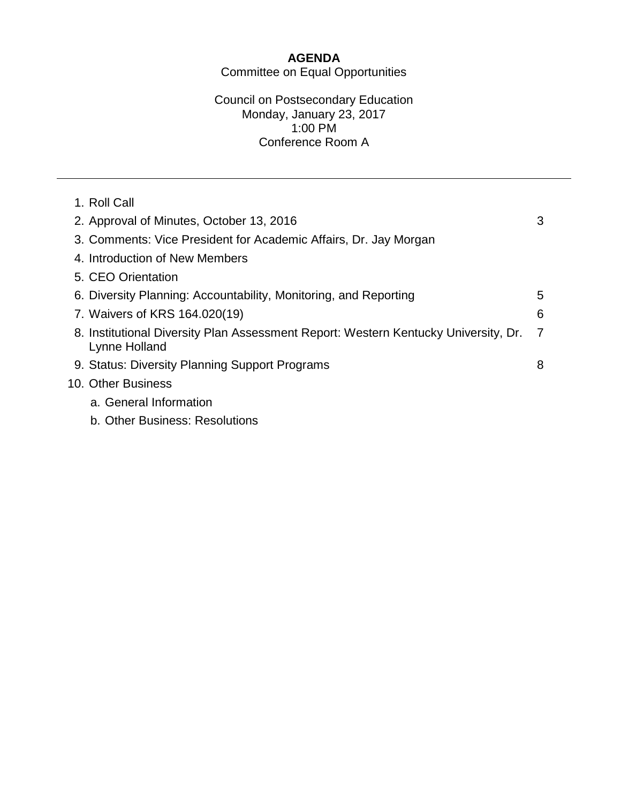# **AGENDA**

Committee on Equal Opportunities

#### Council on Postsecondary Education Monday, January 23, 2017 1:00 PM Conference Room A

| 1. Roll Call                                                                                         |   |  |
|------------------------------------------------------------------------------------------------------|---|--|
| 2. Approval of Minutes, October 13, 2016                                                             | 3 |  |
| 3. Comments: Vice President for Academic Affairs, Dr. Jay Morgan                                     |   |  |
| 4. Introduction of New Members                                                                       |   |  |
| 5. CEO Orientation                                                                                   |   |  |
| 6. Diversity Planning: Accountability, Monitoring, and Reporting                                     | 5 |  |
| 7. Waivers of KRS 164.020(19)                                                                        | 6 |  |
| 8. Institutional Diversity Plan Assessment Report: Western Kentucky University, Dr.<br>Lynne Holland | 7 |  |
| 9. Status: Diversity Planning Support Programs                                                       | 8 |  |
| 10. Other Business                                                                                   |   |  |
| a. General Information                                                                               |   |  |
| b. Other Business: Resolutions                                                                       |   |  |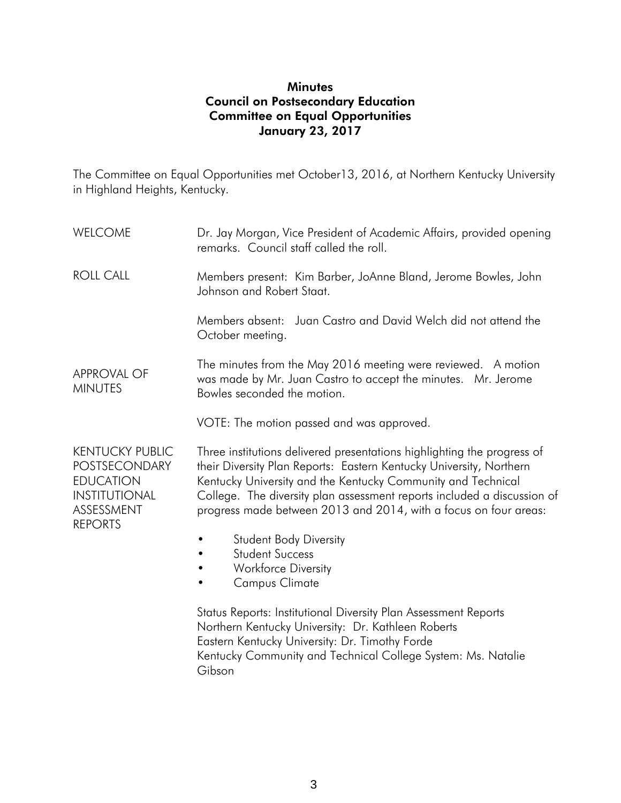#### **Minutes** Council on Postsecondary Education Committee on Equal Opportunities January 23, 2017

The Committee on Equal Opportunities met October13, 2016, at Northern Kentucky University in Highland Heights, Kentucky.

WELCOME ROLL CALL APPROVAL OF MINUTES Dr. Jay Morgan, Vice President of Academic Affairs, provided opening remarks. Council staff called the roll. Members present: Kim Barber, JoAnne Bland, Jerome Bowles, John Johnson and Robert Staat. Members absent: Juan Castro and David Welch did not attend the October meeting. The minutes from the May 2016 meeting were reviewed. A motion was made by Mr. Juan Castro to accept the minutes. Mr. Jerome Bowles seconded the motion. VOTE: The motion passed and was approved. KENTUCKY PUBLIC POSTSECONDARY **FDUCATION INSTITUTIONAL** ASSESSMENT REPORTS Three institutions delivered presentations highlighting the progress of their Diversity Plan Reports: Eastern Kentucky University, Northern Kentucky University and the Kentucky Community and Technical College. The diversity plan assessment reports included a discussion of progress made between 2013 and 2014, with a focus on four areas: • Student Body Diversity • Student Success • Workforce Diversity • Campus Climate Status Reports: Institutional Diversity Plan Assessment Reports Northern Kentucky University: Dr. Kathleen Roberts

Eastern Kentucky University: Dr. Timothy Forde

Kentucky Community and Technical College System: Ms. Natalie Gibson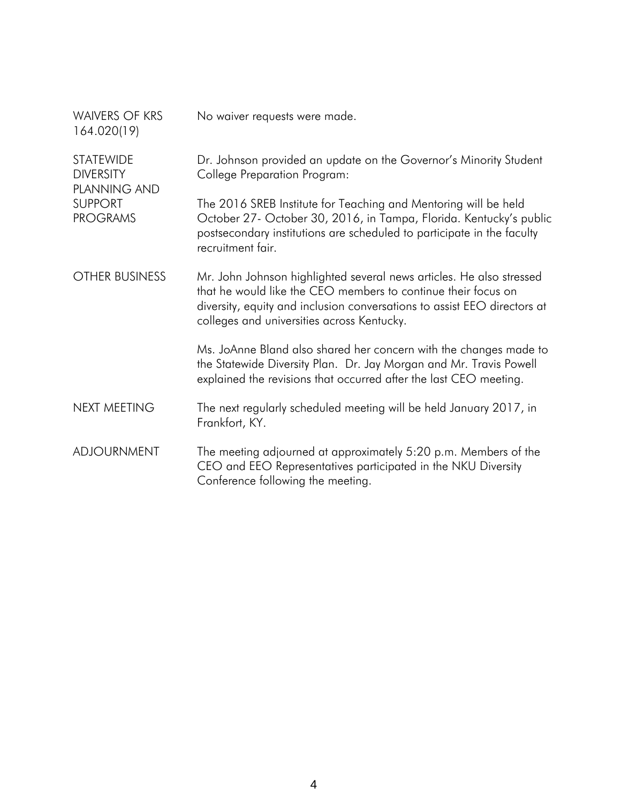| <b>WAIVERS OF KRS</b><br>164.020(19)                        | No waiver requests were made.                                                                                                                                                                                                                                   |
|-------------------------------------------------------------|-----------------------------------------------------------------------------------------------------------------------------------------------------------------------------------------------------------------------------------------------------------------|
| <b>STATEWIDE</b><br><b>DIVERSITY</b><br><b>PLANNING AND</b> | Dr. Johnson provided an update on the Governor's Minority Student<br><b>College Preparation Program:</b>                                                                                                                                                        |
| <b>SUPPORT</b><br><b>PROGRAMS</b>                           | The 2016 SREB Institute for Teaching and Mentoring will be held<br>October 27- October 30, 2016, in Tampa, Florida. Kentucky's public<br>postsecondary institutions are scheduled to participate in the faculty<br>recruitment fair.                            |
| OTHER BUSINESS                                              | Mr. John Johnson highlighted several news articles. He also stressed<br>that he would like the CEO members to continue their focus on<br>diversity, equity and inclusion conversations to assist EEO directors at<br>colleges and universities across Kentucky. |
|                                                             | Ms. JoAnne Bland also shared her concern with the changes made to<br>the Statewide Diversity Plan. Dr. Jay Morgan and Mr. Travis Powell<br>explained the revisions that occurred after the last CEO meeting.                                                    |
| NEXT MEETING                                                | The next regularly scheduled meeting will be held January 2017, in<br>Frankfort, KY.                                                                                                                                                                            |
| <b>ADJOURNMENT</b>                                          | The meeting adjourned at approximately 5:20 p.m. Members of the<br>CEO and EEO Representatives participated in the NKU Diversity<br>Conference following the meeting.                                                                                           |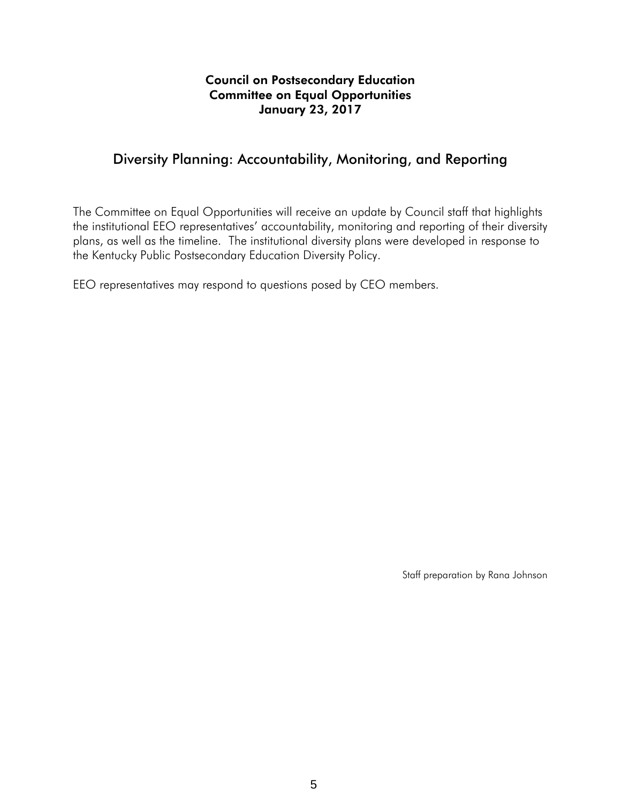#### Council on Postsecondary Education Committee on Equal Opportunities January 23, 2017

### Diversity Planning: Accountability, Monitoring, and Reporting

The Committee on Equal Opportunities will receive an update by Council staff that highlights the institutional EEO representatives' accountability, monitoring and reporting of their diversity plans, as well as the timeline. The institutional diversity plans were developed in response to the Kentucky Public Postsecondary Education Diversity Policy.

EEO representatives may respond to questions posed by CEO members.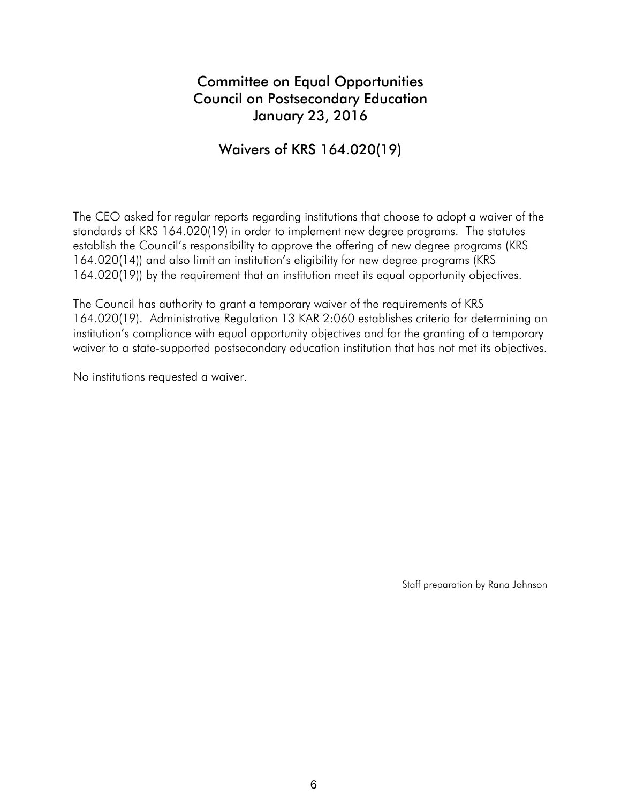## Committee on Equal Opportunities Council on Postsecondary Education January 23, 2016

## Waivers of KRS 164.020(19)

The CEO asked for regular reports regarding institutions that choose to adopt a waiver of the standards of KRS 164.020(19) in order to implement new degree programs. The statutes establish the Council's responsibility to approve the offering of new degree programs (KRS 164.020(14)) and also limit an institution's eligibility for new degree programs (KRS 164.020(19)) by the requirement that an institution meet its equal opportunity objectives.

The Council has authority to grant a temporary waiver of the requirements of KRS 164.020(19). Administrative Regulation 13 KAR 2:060 establishes criteria for determining an institution's compliance with equal opportunity objectives and for the granting of a temporary waiver to a state-supported postsecondary education institution that has not met its objectives.

No institutions requested a waiver.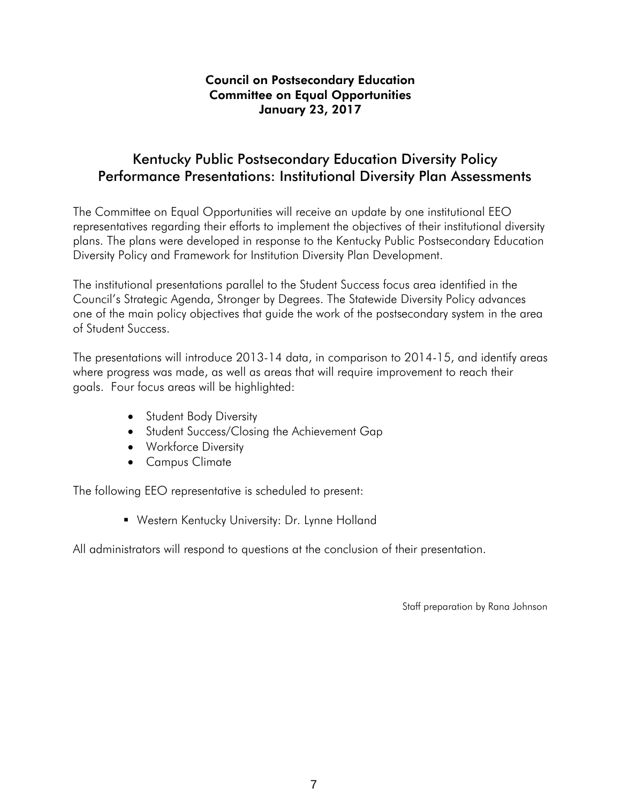#### Council on Postsecondary Education Committee on Equal Opportunities January 23, 2017

### Kentucky Public Postsecondary Education Diversity Policy Performance Presentations: Institutional Diversity Plan Assessments

The Committee on Equal Opportunities will receive an update by one institutional EEO representatives regarding their efforts to implement the objectives of their institutional diversity plans. The plans were developed in response to the Kentucky Public Postsecondary Education Diversity Policy and Framework for Institution Diversity Plan Development.

The institutional presentations parallel to the Student Success focus area identified in the Council's Strategic Agenda, Stronger by Degrees. The Statewide Diversity Policy advances one of the main policy objectives that guide the work of the postsecondary system in the area of Student Success.

The presentations will introduce 2013-14 data, in comparison to 2014-15, and identify areas where progress was made, as well as areas that will require improvement to reach their goals. Four focus areas will be highlighted:

- Student Body Diversity
- Student Success/Closing the Achievement Gap
- Workforce Diversity
- Campus Climate

The following EEO representative is scheduled to present:

Western Kentucky University: Dr. Lynne Holland

All administrators will respond to questions at the conclusion of their presentation.